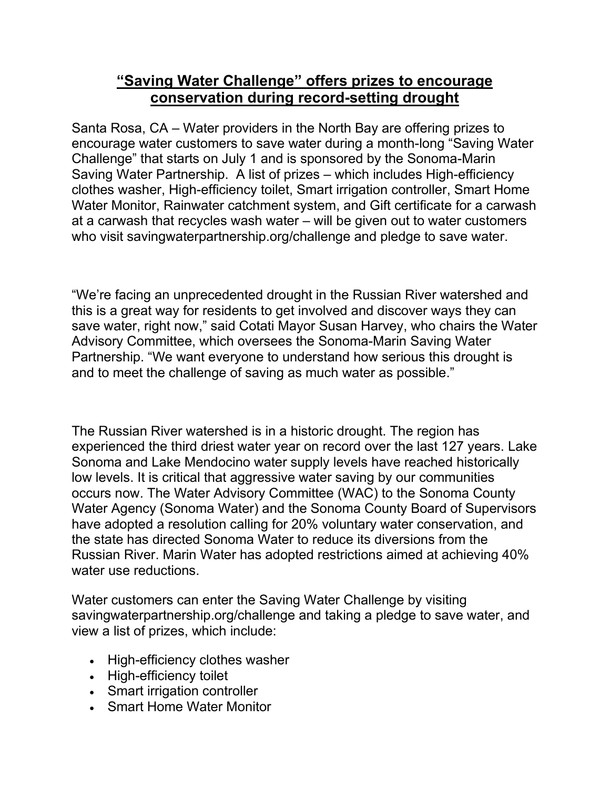## **"Saving Water Challenge" offers prizes to encourage conservation during record-setting drought**

Santa Rosa, CA – Water providers in the North Bay are offering prizes to encourage water customers to save water during a month-long "Saving Water Challenge" that starts on July 1 and is sponsored by the Sonoma-Marin Saving Water Partnership. A list of prizes – which includes High-efficiency clothes washer, High-efficiency toilet, Smart irrigation controller, Smart Home Water Monitor, Rainwater catchment system, and Gift certificate for a carwash at a carwash that recycles wash water – will be given out to water customers who visit savingwaterpartnership.org/challenge and pledge to save water.

"We're facing an unprecedented drought in the Russian River watershed and this is a great way for residents to get involved and discover ways they can save water, right now," said Cotati Mayor Susan Harvey, who chairs the Water Advisory Committee, which oversees the Sonoma-Marin Saving Water Partnership. "We want everyone to understand how serious this drought is and to meet the challenge of saving as much water as possible."

The Russian River watershed is in a historic drought. The region has experienced the third driest water year on record over the last 127 years. Lake Sonoma and Lake Mendocino water supply levels have reached historically low levels. It is critical that aggressive water saving by our communities occurs now. The Water Advisory Committee (WAC) to the Sonoma County Water Agency (Sonoma Water) and the Sonoma County Board of Supervisors have adopted a resolution calling for 20% voluntary water conservation, and the state has directed Sonoma Water to reduce its diversions from the Russian River. Marin Water has adopted restrictions aimed at achieving 40% water use reductions.

Water customers can enter the Saving Water Challenge by visiting savingwaterpartnership.org/challenge and taking a pledge to save water, and view a list of prizes, which include:

- High-efficiency clothes washer
- High-efficiency toilet
- Smart irrigation controller
- Smart Home Water Monitor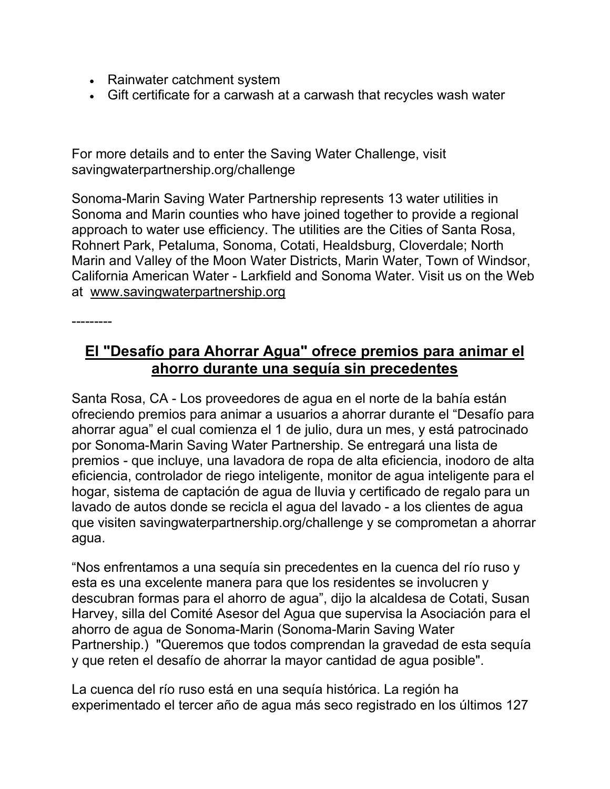- Rainwater catchment system
- Gift certificate for a carwash at a carwash that recycles wash water

For more details and to enter the Saving Water Challenge, visit savingwaterpartnership.org/challenge

Sonoma-Marin Saving Water Partnership represents 13 water utilities in Sonoma and Marin counties who have joined together to provide a regional approach to water use efficiency. The utilities are the Cities of Santa Rosa, Rohnert Park, Petaluma, Sonoma, Cotati, Healdsburg, Cloverdale; North Marin and Valley of the Moon Water Districts, Marin Water, Town of Windsor, California American Water - Larkfield and Sonoma Water. Visit us on the Web at www.savingwaterpartnership.org

---------

## **El "Desafío para Ahorrar Agua" ofrece premios para animar el ahorro durante una sequía sin precedentes**

Santa Rosa, CA - Los proveedores de agua en el norte de la bahía están ofreciendo premios para animar a usuarios a ahorrar durante el "Desafío para ahorrar agua" el cual comienza el 1 de julio, dura un mes, y está patrocinado por Sonoma-Marin Saving Water Partnership. Se entregará una lista de premios - que incluye, una lavadora de ropa de alta eficiencia, inodoro de alta eficiencia, controlador de riego inteligente, monitor de agua inteligente para el hogar, sistema de captación de agua de lluvia y certificado de regalo para un lavado de autos donde se recicla el agua del lavado - a los clientes de agua que visiten savingwaterpartnership.org/challenge y se comprometan a ahorrar agua.

"Nos enfrentamos a una sequía sin precedentes en la cuenca del río ruso y esta es una excelente manera para que los residentes se involucren y descubran formas para el ahorro de agua", dijo la alcaldesa de Cotati, Susan Harvey, silla del Comité Asesor del Agua que supervisa la Asociación para el ahorro de agua de Sonoma-Marin (Sonoma-Marin Saving Water Partnership.) "Queremos que todos comprendan la gravedad de esta sequía y que reten el desafío de ahorrar la mayor cantidad de agua posible".

La cuenca del río ruso está en una sequía histórica. La región ha experimentado el tercer año de agua más seco registrado en los últimos 127